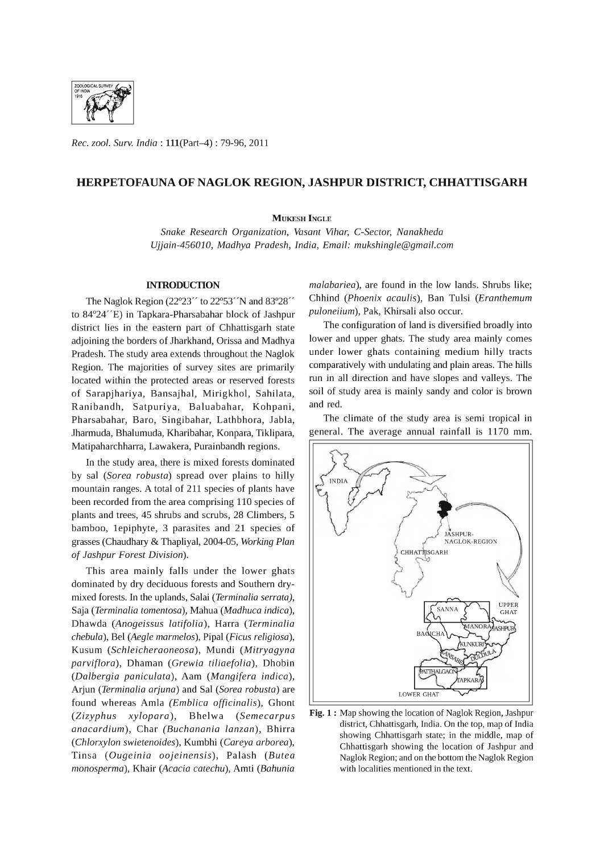

*Rec. zool. Surv. India:* l11(Part-4) : 79-96, 2011

### **HERPETOFAUNA OF NAGLOK REGION, JASHPUR DISTRICT, CHHATTISGARH**

#### **MUKESH INGLE**

Snake Research Organization, Vasant Vihar, C-Sector, Nanakheda *Ujjain-456010, Madhya Pradesh, India, Email: mukshingle@gmail.com* 

#### **INTRODUCTION**

The Naglok Region (22°23" to 22°53"N and 83°28" to 84°24"E) in Tapkara-Pharsabahar block of lashpur district lies in the eastern part of Chhattisgarh state adjoining the borders of lharkhand, Orissa and Madhya Pradesh. The study area extends throughout the Naglok Region. The majorities of survey sites are primarily located within the protected areas or reserved forests of Sarapjhariya, Bansajhal, Mirigkhol, Sahilata, Ranibandh, Satpuriya, Baluabahar, Kohpani, Pharsabahar, Bara, Singibahar, Lathbhora, labIa, lharmuda, Bhalumuda, Kharibahar, Konpara, Tiklipara, Matipaharchharra, Lawakera, Purainbandh regions.

In the study area, there is mixed forests dominated by sal *(Sorea robusta)* spread over plains to hilly mountain ranges. A total of 211 species of plants have been recorded from the area comprising 110 species of plants and trees, 45 shrubs and scrubs, 28 Climbers, 5 bamboo, 1epiphyte, 3 parasites and 21 species of grasses (Chaudhary & Thapliyal, 2004-05, *Working Plan*  of *Jashpur Forest Division).* 

This area mainly falls under the lower ghats dominated by dry deciduous forests and Southern drymixed forests. In the uplands, Salai *(Terminalia serrata),*  Saja *(Terminalia tomentosa),* Mahua *(Madhuca indica),*  Dhawda *(Anogeissus latifolia),* Harra *(Terminalia chebula),* Bel *(Aegle marmelos),* Pipal *(Ficus religiosa),*  Kusum *(Schleicheraoneosa),* Mundi *(Mitryagyna parviflora),* Dhaman *(Grewia tiliaefolia),* Dhobin *(Dalbergia paniculata),* Aam *(Mangifera indica),*  Arjun *(Terminalia arjuna)* and Sal *(Sorea robusta)* are found whereas Amla (Emblica officinalis), Ghont *(Zizyphus xylopara),* Bhelwa *(Semecarpus anacardium),* Char *(Buchanania lanzan),* Bhirra *(Chlorxylon swietenoides),* Kumbhi *(Careya arborea),*  Tinsa *(Ougeinia oojeinensis),* Palash *(Butea monosperma),* Khair *(Acacia catechu),* Amti *(Bahunia*  *malabariea),* are found in the low lands. Shrubs like; Chhind *(Phoenix acaulis),* Ban Tulsi *(Eranthemum puloneiium),* Pak, Khirsali also occur.

The configuration of land is diversified broadly into lower and upper ghats. The study area mainly comes under lower ghats containing medium hilly tracts comparatively with undulating and plain areas. The hills run in all direction and have slopes and valleys. The soil of study area is mainly sandy and color is brown and red.

The climate of the study area is semi tropical in general. The average annual rainfall is 1170 mm.



Fig. 1 : Map showing the location of Naglok Region, Jashpur district, Chhattisgarh, India. On the top, map of India showing Chhattisgarh state; in the middle, map of Chhattisgarh showing the location of Jashpur and Naglok Region; and on the bottom the Naglok Region with localities mentioned in the text.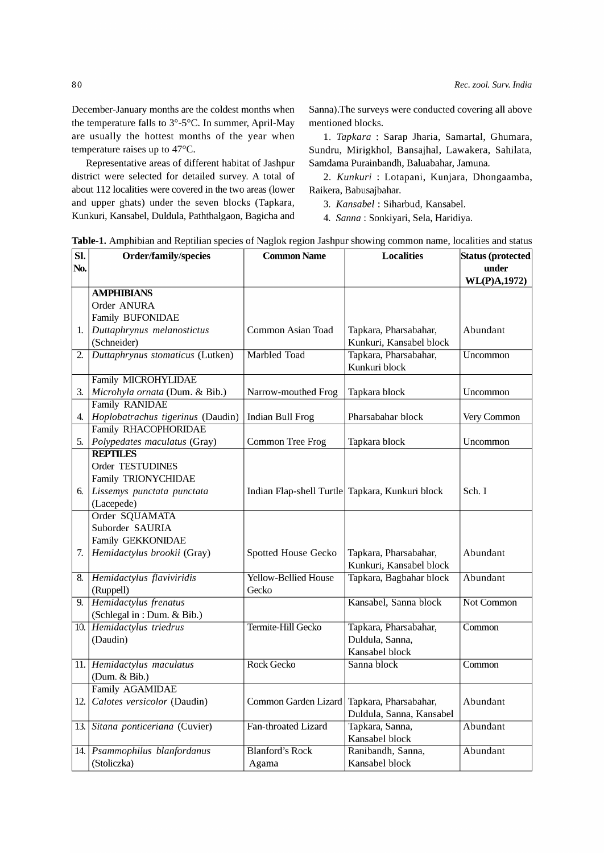December-January months are the coldest months when the temperature falls to  $3^{\circ}$ -5°C. In summer, April-May are usually the hottest months of the year when temperature raises up to 47°C.

Representative areas of different habitat of Jashpur Samdama Purainbandh, Baluabahar, Jamuna. district were selected for detailed survey. A total of about 112 localities were covered in the two areas (lower and upper ghats) under the seven blocks (Tapkara, Kunkuri, Kansabel, Duldula, Paththalgaon, Bagicha and

Sanna).The surveys were conducted covering all above mentioned blocks.

1. *Tapkara* : Sarap Jharia, Samartal, Ghumara, Sundru, Mirigkhol, Bansajhal, Lawakera, Sahilata,

*2. Kunkuri* : Lotapani, Kunjara, Dhongaamba, Raikera, Babusajbahar.

*3. Kansabel* : Siharbud, Kansabel.

4. *Sanna:* Sonkiyari, Sela, Haridiya.

|  |  |  |  | <b>Table-1.</b> Amphibian and Reptilian species of Naglok region Jashpur showing common name, localities and status |
|--|--|--|--|---------------------------------------------------------------------------------------------------------------------|
|  |  |  |  |                                                                                                                     |

| Sl.  | <b>Order/family/species</b>       | <b>Common Name</b>          | <b>Localities</b>                               | Status (protected |
|------|-----------------------------------|-----------------------------|-------------------------------------------------|-------------------|
| No.  |                                   |                             |                                                 | under             |
|      |                                   |                             |                                                 | WL(P)A,1972)      |
|      | <b>AMPHIBIANS</b>                 |                             |                                                 |                   |
|      | Order ANURA                       |                             |                                                 |                   |
|      | Family BUFONIDAE                  |                             |                                                 |                   |
| 1.   | Duttaphrynus melanostictus        | Common Asian Toad           | Tapkara, Pharsabahar,                           | Abundant          |
|      | (Schneider)                       |                             | Kunkuri, Kansabel block                         |                   |
| 2.   | Duttaphrynus stomaticus (Lutken)  | <b>Marbled Toad</b>         | Tapkara, Pharsabahar,                           | Uncommon          |
|      |                                   |                             | Kunkuri block                                   |                   |
|      | Family MICROHYLIDAE               |                             |                                                 |                   |
| 3.   | Microhyla ornata (Dum. & Bib.)    | Narrow-mouthed Frog         | Tapkara block                                   | Uncommon          |
|      | Family RANIDAE                    |                             |                                                 |                   |
| 4.   | Hoplobatrachus tigerinus (Daudin) | Indian Bull Frog            | Pharsabahar block                               | Very Common       |
|      | Family RHACOPHORIDAE              |                             |                                                 |                   |
| 5.   | Polypedates maculatus (Gray)      | <b>Common Tree Frog</b>     | Tapkara block                                   | Uncommon          |
|      | <b>REPTILES</b>                   |                             |                                                 |                   |
|      | Order TESTUDINES                  |                             |                                                 |                   |
|      | Family TRIONYCHIDAE               |                             |                                                 |                   |
| 6.   | Lissemys punctata punctata        |                             | Indian Flap-shell Turtle Tapkara, Kunkuri block | Sch. I            |
|      | (Lacepede)                        |                             |                                                 |                   |
|      | Order SQUAMATA                    |                             |                                                 |                   |
|      | Suborder SAURIA                   |                             |                                                 |                   |
|      | Family GEKKONIDAE                 |                             |                                                 |                   |
| 7.   | Hemidactylus brookii (Gray)       | Spotted House Gecko         | Tapkara, Pharsabahar,                           | Abundant          |
|      |                                   |                             | Kunkuri, Kansabel block                         |                   |
| 8.   | Hemidactylus flaviviridis         | <b>Yellow-Bellied House</b> | Tapkara, Bagbahar block                         | Abundant          |
|      | (Ruppell)                         | Gecko                       |                                                 |                   |
| 9.   | <b>Hemidactylus</b> frenatus      |                             | Kansabel, Sanna block                           | Not Common        |
|      | (Schlegal in: Dum. & Bib.)        |                             |                                                 |                   |
|      | 10. Hemidactylus triedrus         | Termite-Hill Gecko          | Tapkara, Pharsabahar,                           | Common            |
|      | (Daudin)                          |                             | Duldula, Sanna,                                 |                   |
|      |                                   |                             | Kansabel block                                  |                   |
|      | 11. Hemidactylus maculatus        | <b>Rock Gecko</b>           | Sanna block                                     | Common            |
|      | (Dum. & Bib.)                     |                             |                                                 |                   |
|      | <b>Family AGAMIDAE</b>            |                             |                                                 |                   |
| 12.1 | Calotes versicolor (Daudin)       | Common Garden Lizard        | Tapkara, Pharsabahar,                           | Abundant          |
|      |                                   |                             | Duldula, Sanna, Kansabel                        |                   |
| 13.1 | Sitana ponticeriana (Cuvier)      | Fan-throated Lizard         | Tapkara, Sanna,                                 | Abundant          |
|      |                                   |                             | Kansabel block                                  |                   |
|      | 14. Psammophilus blanfordanus     | <b>Blanford's Rock</b>      | Ranibandh, Sanna,                               | Abundant          |
|      | (Stoliczka)                       | Agama                       | Kansabel block                                  |                   |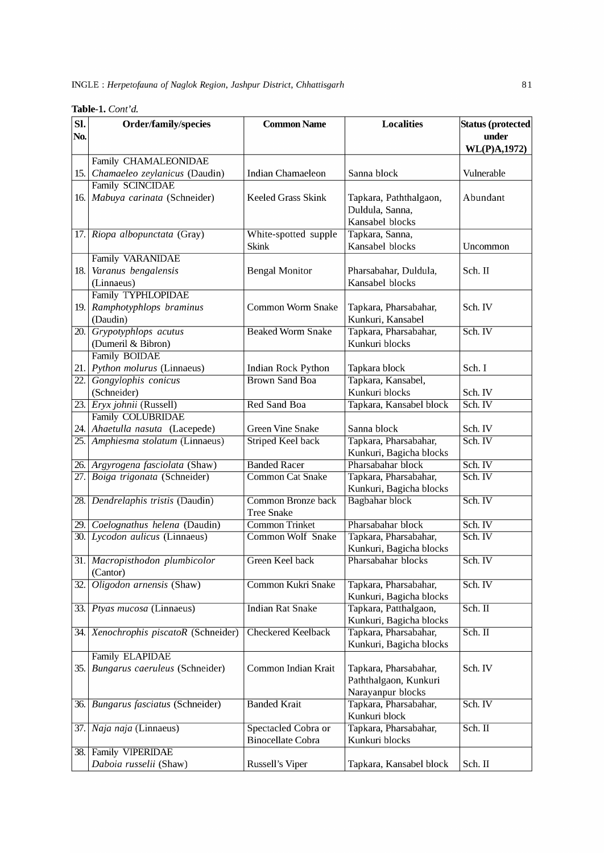|  | <b>Table-1.</b> Cont'd. |  |
|--|-------------------------|--|
|  |                         |  |

| SI.               | <b>Order/family/species</b>                                        | <b>Common Name</b>                              | <b>Localities</b>                          | Status (protected  |
|-------------------|--------------------------------------------------------------------|-------------------------------------------------|--------------------------------------------|--------------------|
| No.               |                                                                    |                                                 |                                            | under              |
|                   |                                                                    |                                                 |                                            | WL(P)A,1972)       |
|                   | Family CHAMALEONIDAE                                               |                                                 |                                            |                    |
| 15.               | Chamaeleo zeylanicus (Daudin)                                      | Indian Chamaeleon                               | Sanna block                                | Vulnerable         |
|                   | <b>Family SCINCIDAE</b>                                            |                                                 |                                            |                    |
| 16.               | Mabuya carinata (Schneider)                                        | <b>Keeled Grass Skink</b>                       | Tapkara, Paththalgaon,                     | Abundant           |
|                   |                                                                    |                                                 | Duldula, Sanna,                            |                    |
|                   |                                                                    |                                                 | Kansabel blocks                            |                    |
| 17.               | Riopa albopunctata (Gray)                                          | White-spotted supple                            | Tapkara, Sanna,                            |                    |
|                   |                                                                    | Skink                                           | Kansabel blocks                            | Uncommon           |
|                   | Family VARANIDAE                                                   |                                                 |                                            |                    |
| 18.               | Varanus bengalensis                                                | <b>Bengal Monitor</b>                           | Pharsabahar, Duldula,                      | Sch. II            |
|                   | (Linnaeus)                                                         |                                                 | Kansabel blocks                            |                    |
|                   | Family TYPHLOPIDAE<br>Ramphotyphlops braminus                      | Common Worm Snake                               |                                            | Sch. IV            |
| 19.               | (Daudin)                                                           |                                                 | Tapkara, Pharsabahar,<br>Kunkuri, Kansabel |                    |
| 20.               | Grypotyphlops acutus                                               | <b>Beaked Worm Snake</b>                        | Tapkara, Pharsabahar,                      | Sch. IV            |
|                   | (Dumeril & Bibron)                                                 |                                                 | Kunkuri blocks                             |                    |
|                   | Family BOIDAE                                                      |                                                 |                                            |                    |
| 21.               | Python molurus (Linnaeus)                                          | Indian Rock Python                              | Tapkara block                              | Sch. I             |
| 22.               | Gongylophis conicus                                                | <b>Brown Sand Boa</b>                           | Tapkara, Kansabel,                         |                    |
|                   | (Schneider)                                                        |                                                 | Kunkuri blocks                             | Sch. IV            |
| 23.               | Eryx johnii (Russell)                                              | <b>Red Sand Boa</b>                             | Tapkara, Kansabel block                    | Sch. IV            |
|                   | Family COLUBRIDAE                                                  |                                                 |                                            |                    |
|                   | 24. Ahaetulla nasuta (Lacepede)                                    | <b>Green Vine Snake</b>                         | Sanna block                                | Sch. IV            |
| $\overline{25}$ . | Amphiesma stolatum (Linnaeus)                                      | <b>Striped Keel back</b>                        | Tapkara, Pharsabahar,                      | Sch. IV            |
|                   |                                                                    |                                                 | Kunkuri, Bagicha blocks                    |                    |
|                   | 26. Argyrogena fasciolata (Shaw)                                   | <b>Banded Racer</b>                             | Pharsabahar block                          | Sch. IV            |
| $\overline{27}$ . | Boiga trigonata (Schneider)                                        | <b>Common Cat Snake</b>                         | Tapkara, Pharsabahar,                      | Sch. IV            |
|                   |                                                                    |                                                 | Kunkuri, Bagicha blocks                    |                    |
|                   | 28. Dendrelaphis tristis (Daudin)                                  | <b>Common Bronze back</b>                       | <b>Bagbahar block</b>                      | Sch. IV            |
|                   |                                                                    | <b>Tree Snake</b>                               |                                            |                    |
|                   | 29. Coelognathus helena (Daudin)<br>30. Lycodon aulicus (Linnaeus) | <b>Common Trinket</b><br>Common Wolf Snake      | Pharsabahar block<br>Tapkara, Pharsabahar, | Sch. IV<br>Sch. IV |
|                   |                                                                    |                                                 | Kunkuri, Bagicha blocks                    |                    |
|                   | 31. Macropisthodon plumbicolor                                     | <b>Green Keel back</b>                          | Pharsabahar blocks                         | Sch. IV            |
|                   | (Cantor)                                                           |                                                 |                                            |                    |
| 32.               | Oligodon arnensis (Shaw)                                           | Common Kukri Snake                              | Tapkara, Pharsabahar,                      | Sch. IV            |
|                   |                                                                    |                                                 | Kunkuri, Bagicha blocks                    |                    |
| 33.               | Ptyas mucosa (Linnaeus)                                            | <b>Indian Rat Snake</b>                         | Tapkara, Patthalgaon,                      | Sch. II            |
|                   |                                                                    |                                                 | Kunkuri, Bagicha blocks                    |                    |
| 34.               | Xenochrophis piscatoR (Schneider)                                  | <b>Checkered Keelback</b>                       | Tapkara, Pharsabahar,                      | Sch. II            |
|                   |                                                                    |                                                 | Kunkuri, Bagicha blocks                    |                    |
|                   | Family ELAPIDAE                                                    |                                                 |                                            |                    |
| 35.               | Bungarus caeruleus (Schneider)                                     | Common Indian Krait                             | Tapkara, Pharsabahar,                      | Sch. IV            |
|                   |                                                                    |                                                 | Paththalgaon, Kunkuri                      |                    |
|                   |                                                                    |                                                 | Narayanpur blocks                          |                    |
| 36.               | Bungarus fasciatus (Schneider)                                     | <b>Banded Krait</b>                             | Tapkara, Pharsabahar,                      | Sch. IV            |
|                   |                                                                    |                                                 | Kunkuri block                              |                    |
| 37.               | Naja naja (Linnaeus)                                               | Spectacled Cobra or<br><b>Binocellate Cobra</b> | Tapkara, Pharsabahar,<br>Kunkuri blocks    | Sch. II            |
|                   | 38. Family VIPERIDAE                                               |                                                 |                                            |                    |
|                   | Daboia russelii (Shaw)                                             | Russell's Viper                                 | Tapkara, Kansabel block                    | Sch. II            |
|                   |                                                                    |                                                 |                                            |                    |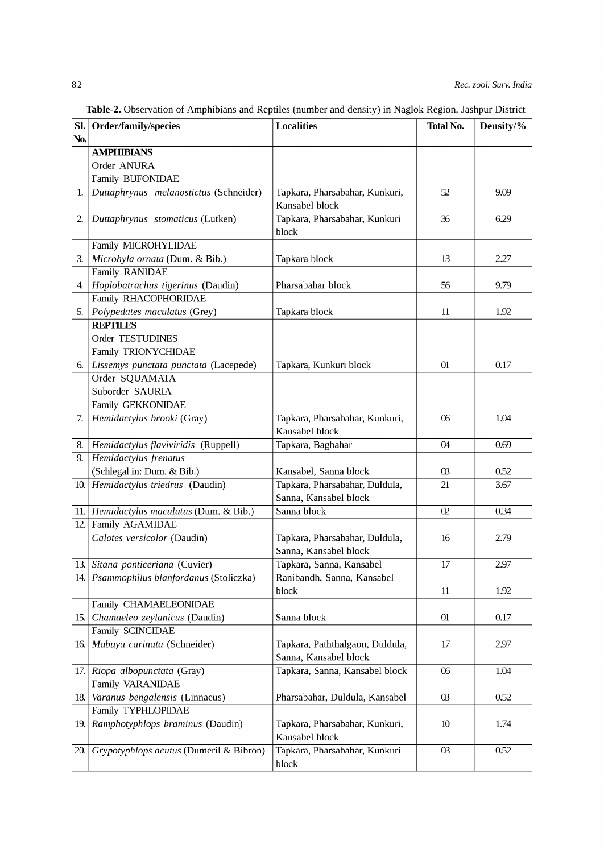Table-2. Observation of Amphibians and Reptiles (number and density) in Naglok Region, Jashpur District

| SI. | Order/family/species                      | <b>Localities</b>               | <b>Total No.</b> | Density/% |
|-----|-------------------------------------------|---------------------------------|------------------|-----------|
| No. |                                           |                                 |                  |           |
|     | <b>AMPHIBIANS</b>                         |                                 |                  |           |
|     | Order ANURA                               |                                 |                  |           |
|     | Family BUFONIDAE                          |                                 |                  |           |
| 1.  | Duttaphrynus melanostictus (Schneider)    | Tapkara, Pharsabahar, Kunkuri,  | 52               | 9.09      |
|     |                                           | Kansabel block                  |                  |           |
| 2.  | Duttaphrynus stomaticus (Lutken)          | Tapkara, Pharsabahar, Kunkuri   | 36               | 6.29      |
|     |                                           | block                           |                  |           |
|     | Family MICROHYLIDAE                       |                                 |                  |           |
| З.  | Microhyla ornata (Dum. & Bib.)            | Tapkara block                   | 13               | 2.27      |
|     | Family RANIDAE                            |                                 |                  |           |
| 4.  | Hoplobatrachus tigerinus (Daudin)         | Pharsabahar block               | 56               | 9.79      |
|     | Family RHACOPHORIDAE                      |                                 |                  |           |
| 5.  | Polypedates maculatus (Grey)              | Tapkara block                   | 11               | 1.92      |
|     | <b>REPTILES</b>                           |                                 |                  |           |
|     | Order TESTUDINES                          |                                 |                  |           |
|     | Family TRIONYCHIDAE                       |                                 |                  |           |
| 6.  | Lissemys punctata punctata (Lacepede)     | Tapkara, Kunkuri block          | 01               | 0.17      |
|     | Order SQUAMATA                            |                                 |                  |           |
|     | Suborder SAURIA                           |                                 |                  |           |
|     | Family GEKKONIDAE                         |                                 |                  |           |
| 7.  | Hemidactylus brooki (Gray)                | Tapkara, Pharsabahar, Kunkuri,  | 06               | 1.04      |
|     |                                           | Kansabel block                  |                  |           |
| 8.  | Hemidactylus flaviviridis (Ruppell)       | Tapkara, Bagbahar               | 04               | 0.69      |
| 9.  | <b>Hemidactylus</b> frenatus              |                                 |                  |           |
|     | (Schlegal in: Dum. & Bib.)                | Kansabel, Sanna block           | $03$             | 0.52      |
|     | 10. Hemidactylus triedrus (Daudin)        | Tapkara, Pharsabahar, Duldula,  | 21               | 3.67      |
|     |                                           | Sanna, Kansabel block           |                  |           |
|     | 11. Hemidactylus maculatus (Dum. & Bib.)  | Sanna block                     | $\overline{0}$   | 0.34      |
| 12. | <b>Family AGAMIDAE</b>                    |                                 |                  |           |
|     | Calotes versicolor (Daudin)               | Tapkara, Pharsabahar, Duldula,  | 16               | 2.79      |
|     |                                           | Sanna, Kansabel block           |                  |           |
|     | 13. Sitana ponticeriana (Cuvier)          | Tapkara, Sanna, Kansabel        | $\overline{17}$  | 2.97      |
|     | 14. Psammophilus blanfordanus (Stoliczka) | Ranibandh, Sanna, Kansabel      |                  |           |
|     |                                           | block                           | 11               | 1.92      |
|     | Family CHAMAELEONIDAE                     |                                 |                  |           |
| 15. | Chamaeleo zeylanicus (Daudin)             | Sanna block                     | 01               | 0.17      |
|     | Family SCINCIDAE                          |                                 |                  |           |
| 16. | Mabuya carinata (Schneider)               | Tapkara, Paththalgaon, Duldula, | 17               | 2.97      |
|     |                                           | Sanna, Kansabel block           |                  |           |
|     | 17. Riopa albopunctata (Gray)             | Tapkara, Sanna, Kansabel block  | 06               | 1.04      |
|     | <b>Family VARANIDAE</b>                   |                                 |                  |           |
| 18. | Varanus bengalensis (Linnaeus)            | Pharsabahar, Duldula, Kansabel  | $03\,$           | 0.52      |
|     | Family TYPHLOPIDAE                        |                                 |                  |           |
| 19. | Ramphotyphlops braminus (Daudin)          | Tapkara, Pharsabahar, Kunkuri,  | 10               | 1.74      |
|     |                                           | Kansabel block                  |                  |           |
| 20. | Grypotyphlops acutus (Dumeril & Bibron)   | Tapkara, Pharsabahar, Kunkuri   | $03\,$           | 0.52      |
|     |                                           | block                           |                  |           |
|     |                                           |                                 |                  |           |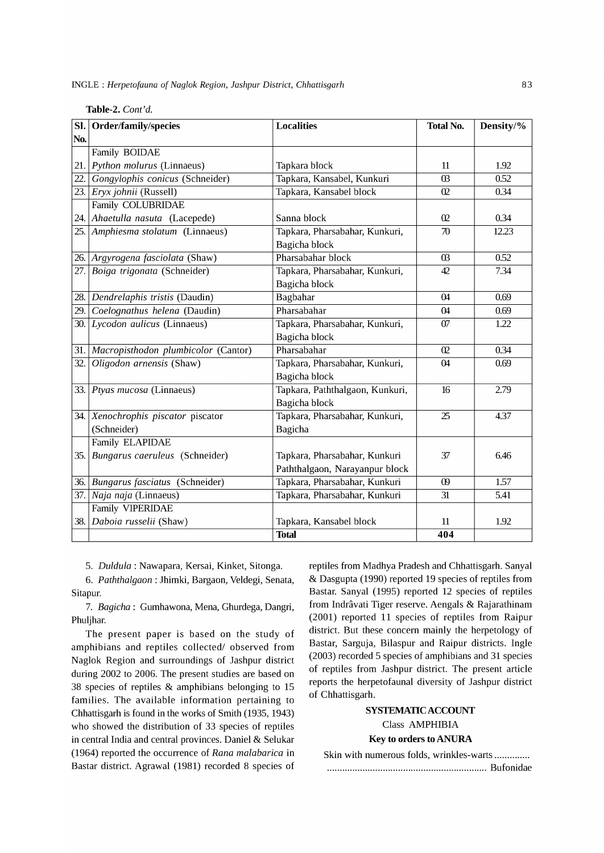INGLE: *Herpetofauna of Naglok Region, Jashpur District, Chhattisgarh* 83

| SI. | Order/family/species                    | <b>Localities</b>               | <b>Total No.</b> | Density/% |
|-----|-----------------------------------------|---------------------------------|------------------|-----------|
| No. |                                         |                                 |                  |           |
|     | Family BOIDAE                           |                                 |                  |           |
|     | 21. Python molurus (Linnaeus)           | Tapkara block                   | 11               | 1.92      |
|     | 22. Gongylophis conicus (Schneider)     | Tapkara, Kansabel, Kunkuri      | $\Omega$         | 0.52      |
|     | 23. Eryx johnii (Russell)               | Tapkara, Kansabel block         | 02               | 0.34      |
|     | Family COLUBRIDAE                       |                                 |                  |           |
|     | 24. Ahaetulla nasuta (Lacepede)         | Sanna block                     | 02               | 0.34      |
|     | 25. Amphiesma stolatum (Linnaeus)       | Tapkara, Pharsabahar, Kunkuri,  | 70               | 12.23     |
|     |                                         | Bagicha block                   |                  |           |
|     | 26. Argyrogena fasciolata (Shaw)        | Pharsabahar block               | $\Omega$         | 0.52      |
|     | 27. Boiga trigonata (Schneider)         | Tapkara, Pharsabahar, Kunkuri,  | 42               | 7.34      |
|     |                                         | Bagicha block                   |                  |           |
|     | 28. Dendrelaphis tristis (Daudin)       | Bagbahar                        | $\Omega$         | 0.69      |
|     | 29. Coelognathus helena (Daudin)        | Pharsabahar                     | $\Omega$         | 0.69      |
|     | 30. Lycodon aulicus (Linnaeus)          | Tapkara, Pharsabahar, Kunkuri,  | 07               | 1.22      |
|     |                                         | Bagicha block                   |                  |           |
|     | 31. Macropisthodon plumbicolor (Cantor) | Pharsabahar                     | $\Omega$         | 0.34      |
| 32. | Oligodon arnensis (Shaw)                | Tapkara, Pharsabahar, Kunkuri,  | 04               | 0.69      |
|     |                                         | Bagicha block                   |                  |           |
|     | 33. Ptyas mucosa (Linnaeus)             | Tapkara, Paththalgaon, Kunkuri, | 16               | 2.79      |
|     |                                         | Bagicha block                   |                  |           |
|     | 34. Xenochrophis piscator piscator      | Tapkara, Pharsabahar, Kunkuri,  | $\overline{25}$  | 4.37      |
|     | (Schneider)                             | <b>Bagicha</b>                  |                  |           |
|     | <b>Family ELAPIDAE</b>                  |                                 |                  |           |
|     | 35. Bungarus caeruleus (Schneider)      | Tapkara, Pharsabahar, Kunkuri   | 37               | 6.46      |
|     |                                         | Paththalgaon, Narayanpur block  |                  |           |
|     | 36. Bungarus fasciatus (Schneider)      | Tapkara, Pharsabahar, Kunkuri   | $\omega$         | 1.57      |
|     | 37. Naja naja (Linnaeus)                | Tapkara, Pharsabahar, Kunkuri   | 31               | 5.41      |
|     | <b>Family VIPERIDAE</b>                 |                                 |                  |           |
|     | 38. Daboia russelii (Shaw)              | Tapkara, Kansabel block         | 11               | 1.92      |
|     |                                         | <b>Total</b>                    | 404              |           |

**Table-2.** *Cont'd.* 

5. *Duldula:* Nawapara, Kersai, Kinket, Sitonga.

6. *Paththalgaon:* Jhimki, Bargaon, Veldegi, Senata, Sitapur.

7. *Bagicha:* Gumhawona, Mena, Ghurdega, Dangri, Phuljhar.

The present paper is based on the study of amphibians and reptiles collected/ observed from Naglok Region and surroundings of Jashpur district during 2002 to 2006. The present studies are based on 38 species of reptiles & amphibians belonging to 15 families. The available information pertaining to Chhattisgarh is found in the works of Smith (1935, 1943) who showed the distribution of 33 species of reptiles in central India and central provinces. Daniel & Selukar (1964) reported the occurrence of *Rana malabarica* in Bastar district. Agrawal (1981) recorded 8 species of reptiles from Madhya Pradesh and Chhattisgarh. Sanyal & Dasgupta (1990) reported 19 species of reptiles from Bastar. Sanyal (1995) reported 12 species of reptiles from Indrâvati Tiger reserve. Aengals & Rajarathinam (2001) reported 11 species of reptiles from Raipur district. But these concern mainly the herpetology of Bastar, Sarguja, Bilaspur and Raipur districts. Ingle (2003) recorded 5 species of amphibians and 31 species of reptiles from Jashpur district. The present article reports the herpetofaunal diversity of Jashpur district of Chhattisgarh.

# SYSTEMATIC ACCOUNT Class AMPHIBIA

Key **to orders to** ANURA

| Skin with numerous folds, wrinkles-warts |  |
|------------------------------------------|--|
|                                          |  |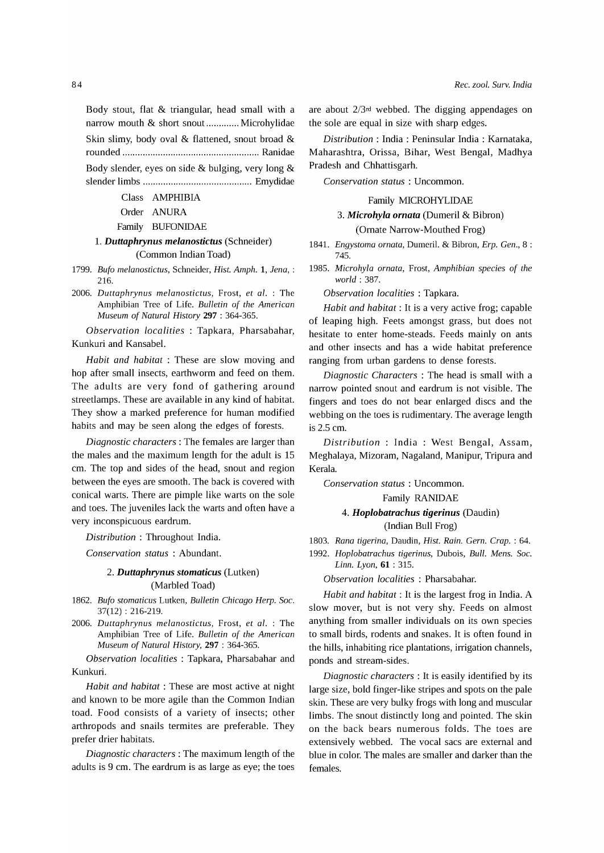Body stout, flat & triangular, head small with a narrow mouth & short snout ............. Microhylidae Skin slimy, body oval & flattened, snout broad & rounded ...................................................... Ranidae Body slender, eyes on side & bulging, very long &

slender limbs ........................................... Emydidae

#### Class AMPHIBIA

### Order ANURA

#### Family BUFONIDAE

### 1. *Duttaphrynus melanostictus* (Schneider) (Common Indian Toad)

- *1799. Bufo melanostictus,* Schneider, *Hist. Amph.* 1, *lena, :*  216.
- *2006. Duttaphrynus melanostictus,* Frost, *et al.* : The Amphibian Tree of Life. *Bulletin of the American Museum of Natural History* 297 : 364-365.

*Observation localities* : Tapkara, Pharsabahar, Kunkuri and Kansabel.

*Habit and habitat* : These are slow moving and hop after small insects, earthworm and feed on them. The adults are very fond of gathering around streetlamps. These are available in any kind of habitat. They show a marked preference for human modified habits and may be seen along the edges of forests.

*Diagnostic characters:* The females are larger than the males and the maximum length for the adult is 15 cm. The top and sides of the head, snout and region between the eyes are smooth. The back is covered with conical warts. There are pimple like warts on the sole and toes. The juveniles lack the warts and often have a very inconspicuous eardrum.

*Distribution* : Throughout India.

*Conservation status* : Abundant.

### *2. Duttaphrynus stomaticus* (Lutken) (Marbled Toad)

- *1862. Bufo stomaticus* Lutken, *Bulletin Chicago Herp. Soc.*  37(12) : 216-219.
- *2006. Duttaphrynus melanostictus,* Frost, *et al.* : The Amphibian Tree of Life. *Bulletin of the American Museum of Natural History,* 297 : 364-365.

*Observation localities* : Tapkara, Pharsabahar and Kunkuri.

*Habit and habitat* : These are most active at night and known to be more agile than the Common Indian toad. Food consists of a variety of insects; other arthropods and snails termites are preferable. They prefer drier habitats.

*Diagnostic characters:* The maximum length of the adults is 9 cm. The eardrum is as large as eye; the toes are about 2/3rd webbed. The digging appendages on the sole are equal in size with sharp edges.

*Distribution* : India : Peninsular India : Karnataka, Maharashtra, Orissa, Bihar, West Bengal, Madhya Pradesh and Chhattisgarh.

*Conservation status:* Uncommon.

#### Family MICROHYLIDAE

### *3. Microhyla ornata* (Dumeril & Bibron)

(Ornate Narrow-Mouthed Frog)

- *1841. Engystoma ornata,* Dumeril. & Bibron, *Erp. Gen.,* 8 : 745.
- *1985. Microhyla ornata,* Frost, *Amphibian species of the world: 387.*

*Observation localities* : Tapkara.

*Habit and habitat:* It is a very active frog; capable of leaping high. Feets amongst grass, but does not hesitate to enter home-steads. Feeds mainly on ants and other insects and has a wide habitat preference ranging from urban gardens to dense forests.

*Diagnostic Characters* : The head is small with a narrow pointed snout and eardrum is not visible. The fingers and toes do not bear enlarged discs and the webbing on the toes is rudimentary. The average length is 2.5 cm.

*Distribution* : India : West Bengal, Assam, Meghalaya, Mizoram, Nagaland, Manipur, Tripura and Kerala.

*Conservation status:* Uncommon.

#### Family RANIDAE

# *4. Hoplobatrachus tigerinus* (Daudin) (Indian Bull Frog)

*1803. Rana tigerina,* Daudin, *Hist. Rain. Gem. Crap.* : 64.

*1992. Hoplobatrachus tigerinus,* Dubois, *Bull. Mens. Soc. Linn. Lyon,* 61 : 315.

*Observation localities* : Pharsabahar.

*Habit and habitat:* It is the largest frog in India. A slow mover, but is not very shy. Feeds on almost anything from smaller individuals on its own species to small birds, rodents and snakes. It is often found in the hills, inhabiting rice plantations, irrigation channels, ponds and stream-sides.

*Diagnostic characters:* It is easily identified by its large size, bold finger-like stripes and spots on the pale skin. These are very bulky frogs with long and muscular limbs. The snout distinctly long and pointed. The skin on the back bears numerous folds. The toes are extensively webbed. The vocal sacs are external and blue in color. The males are smaller and darker than the females.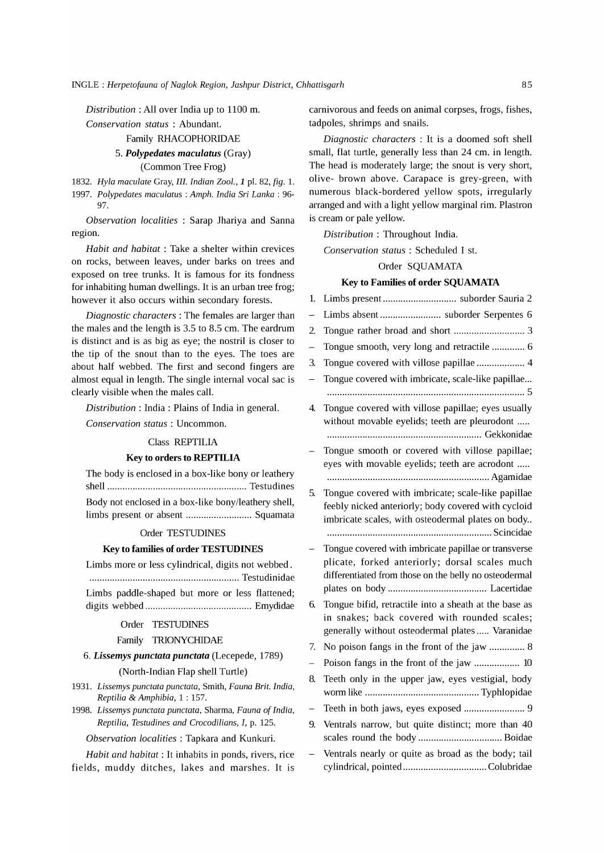*Distribution:* All over India up to 1100 m.

*Conservation status* : Abundant.

# Family RHACOPHORIDAE

### *5. Polypedates maculatus* (Gray) (Common Tree Frog)

*1832. Hyla maculate* Gray, *III. Indian Zoo1.,* 1 pI. 82, *fig.* 1.

*1997. Polypedates maculatus* : *Amph. India Sri Lanka: 96-* 97.

*Observation localities* : Sarap lhariya and Sanna region.

*Habit and habitat:* Take a shelter within crevices on rocks, between leaves, under barks on trees and exposed on tree trunks. It is famous for its fondness for inhabiting human dwellings. It is an urban tree frog; however it also occurs within secondary forests.

*Diagnostic characters:* The females are larger than the males and the length is 3.5 to 8.5 cm. The eardrum is distinct and is as big as eye; the nostril is closer to the tip of the snout than to the eyes. The toes are about half webbed. The first and second fingers are almost equal in length. The single internal vocal sac is clearly visible when the males call.

*Distribution* : India: Plains of India in general.

*Conservation status:* Uncommon.

#### Class REPTILIA

#### Key to orders to REPTILIA

The body is enclosed in a box-like bony or leathery shell ....................................................... Testudines Body not enclosed in a box-like bony/leathery shell, limbs present or absent .......................... Squamata

#### Order TESTUDINES

#### Key to families of order TESTUDINES

Limbs more or less cylindrical, digits not webbed.

........................................................... Testudinidae Limbs paddle-shaped but more or less flattened;

digits webbed .......................................... Emydidae

#### Order TESTUDINES

#### Family TRIONYCHIDAE

*6. Lissemys punctata punctata* (Lecepede, 1789) (North-Indian Flap shell Turtle)

- *1931. Lissemys punctata punctata,* Smith, *Fauna Brit. India, Reptilia* & *Amphibia,* 1 : 157.
- *1998. Lissemys punctata punctata,* Sharma, *Fauna of India, Reptilia, Testudines and Crocodilians, I,* p. 125.

### *Observation localities:* Tapkara and Kunkuri.

*Habit and habitat:* It inhabits in ponds, rivers, rice fields, muddy ditches, lakes and marshes. It is carnivorous and feeds on animal corpses, frogs, fishes, tadpoles, shrimps and snails.

*Diagnostic characters* : It is a doomed soft shell small, flat turtle, generally less than 24 cm. in length. The head is moderately large; the snout is very short, olive- brown above. Carapace is grey-green, with numerous black-bordered yellow spots, irregularly arranged and with a light yellow marginal rim. Plastron is cream or pale yellow.

*Distribution* : Throughout India.

*Conservation status* : Scheduled I st.

#### Order SQUAMATA

### Key to Families of order SQUAMATA

| 1.                       | Limbs present suborder Sauria 2                                                                                                                                 |
|--------------------------|-----------------------------------------------------------------------------------------------------------------------------------------------------------------|
| $\overline{\phantom{0}}$ | Limbs absent  suborder Serpentes 6                                                                                                                              |
| 2.                       | Tongue rather broad and short  3                                                                                                                                |
| $\qquad \qquad -$        | Tongue smooth, very long and retractile  6                                                                                                                      |
| 3.                       | Tongue covered with villose papillae  4                                                                                                                         |
| $\overline{\phantom{0}}$ | Tongue covered with imbricate, scale-like papillae                                                                                                              |
| 4.                       | Tongue covered with villose papillae; eyes usually<br>without movable eyelids; teeth are pleurodont                                                             |
|                          | Tongue smooth or covered with villose papillae;<br>eyes with movable eyelids; teeth are acrodont                                                                |
| 5.                       | Tongue covered with imbricate; scale-like papillae<br>feebly nicked anteriorly; body covered with cycloid<br>imbricate scales, with osteodermal plates on body  |
|                          | Tongue covered with imbricate papillae or transverse<br>plicate, forked anteriorly; dorsal scales much<br>differentiated from those on the belly no osteodermal |
| 6.                       | Tongue bifid, retractile into a sheath at the base as<br>in snakes; back covered with rounded scales;<br>generally without osteodermal plates  Varanidae        |
| 7.                       | No poison fangs in the front of the jaw  8                                                                                                                      |
| $\overline{\phantom{0}}$ | Poison fangs in the front of the jaw  10                                                                                                                        |
| 8.                       | Teeth only in the upper jaw, eyes vestigial, body                                                                                                               |
|                          | Teeth in both jaws, eyes exposed  9                                                                                                                             |
| 9.                       | Ventrals narrow, but quite distinct; more than 40                                                                                                               |
|                          | Ventrals nearly or quite as broad as the body; tail                                                                                                             |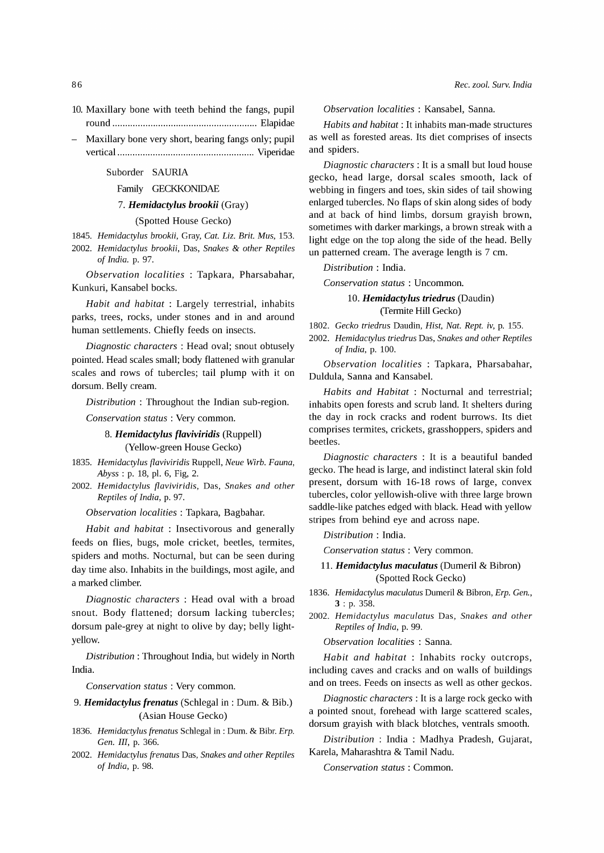- 10. Maxillary bone with teeth behind the fangs, pupil round......................................................... Elapidae
- Maxillary bone very short, bearing fangs only; pupil vertical ...................................................... Viperidae

#### Suborder SAURIA

#### Family GECKKONIDAE

#### *7. Hemidactylus brookii* (Gray)

#### (Spotted House Gecko)

*1845. Hemidactylus brookii,* Gray, *Cat. Liz. Brit. Mus, 153.* 

*2002. Hemidactylus brookii,* Das, *Snakes* & *other Reptiles of India.* p. 97.

*Observation localities* : Tapkara, Pharsabahar, Kunkuri, Kansabel bocks.

*Habit and habitat* : Largely terrestrial, inhabits parks, trees, rocks, under stones and in and around human settlements. Chiefly feeds on insects.

*Diagnostic characters:* Head oval; snout obtusely pointed. Head scales small; body flattened with granular scales and rows of tubercles; tail plump with it on dorsum. Belly cream.

*Distribution* : Throughout the Indian sub-region.

*Conservation status* : Very common.

8. *Hemidactylus flaviviridis* (Ruppell) (Yellow-green House Gecko)

- *1835. Hemidactylus flaviviridis* Ruppell, *Neue Wirb. Fauna, Abyss* : p. 18, pI. 6, Fig, 2.
- *2002. Hemidactylus flaviviridis,* Das, *Snakes and other Reptiles of India,* p. 97.

*Observation localities:* Tapkara, Bagbahar.

*Habit and habitat* : Insectivorous and generally feeds on flies, bugs, mole cricket, beetles, termites, spiders and moths. Nocturnal, but can be seen during day time also. Inhabits in the buildings, most agile, and a marked climber.

*Diagnostic characters* : Head oval with a broad snout. Body flattened; dorsum lacking tubercles; dorsum pale-grey at night to olive by day; belly lightyellow.

*Distribution:* Throughout India, but widely in North India.

*Conservation status* : Very common.

### 9. *Hemidactylus frenatus* (Schlegal in: Dum. & Bib.) (Asian House Gecko)

- *1836. Hemidactylus frenatus* Schlegal in : Dum. & Bibr. *Erp. Gen. III,* p. 366.
- *2002. Hemidactylus frenatus* Das, *Snakes and other Reptiles of India,* p. 98.

*Observation localities:* Kansabel, Sanna.

*Habits and habitat:* It inhabits man-made structures as well as forested areas. Its diet comprises of insects and spiders.

*Diagnostic characters:* It is a small but loud house gecko, head large, dorsal scales smooth, lack of webbing in fingers and toes, skin sides of tail showing enlarged tubercles. No flaps of skin along sides of body and at back of hind limbs, dorsum grayish brown, sometimes with darker markings, a brown streak with a light edge on the top along the side of the head. Belly un patterned cream. The average length is 7 cm.

### *Distribution* : India.

*Conservation status:* Uncommon.

### *10. Hemidactylus triedrus* (Daudin) (Termite Hill Gecko)

*1802. Gecko triedrus* Daudin, *Hist, Nat. Rept. iv,* p. 155.

*2002. Hemidactylus triedrus* Das, *Snakes and other Reptiles of India,* p. 100.

*Observation localities* : Tapkara, Pharsabahar, Duldula, Sanna and Kansabel.

*Habits and Habitat* : Nocturnal and terrestrial; inhabits open forests and scrub land. It shelters during the day in rock cracks and rodent burrows. Its diet comprises termites, crickets, grasshoppers, spiders and beetles.

*Diagnostic characters* : It is a beautiful banded gecko. The head is large, and indistinct lateral skin fold present, dorsum with 16-18 rows of large, convex tubercles, color yellowish-olive with three large brown saddle-like patches edged with black. Head with yellow stripes from behind eye and across nape.

*Distribution* : India.

*Conservation status:* Very common.

#### 11. *Hemidactylus maculatus* (Dumeril & Bibron) (Spotted Rock Gecko)

- *1836. Hemidactylus maculatus* Dumeril & Bibron, *Erp. Gen.,*  3 : p. 358.
- *2002. Hemidactylus maculatus* Das, *Snakes and other Reptiles of India,* p. 99.

*Observation localities* : Sanna.

*Habit and habitat* : Inhabits rocky outcrops, including caves and cracks and on walls of buildings and on trees. Feeds on insects as well as other geckos.

*Diagnostic characters:* It is a large rock gecko with a pointed snout, forehead with large scattered scales, dorsum grayish with black blotches, ventrals smooth.

*Distribution* : India: Madhya Pradesh, Gujarat, Karela, Maharashtra & Tamil Nadu.

*Conservation status:* Common.

86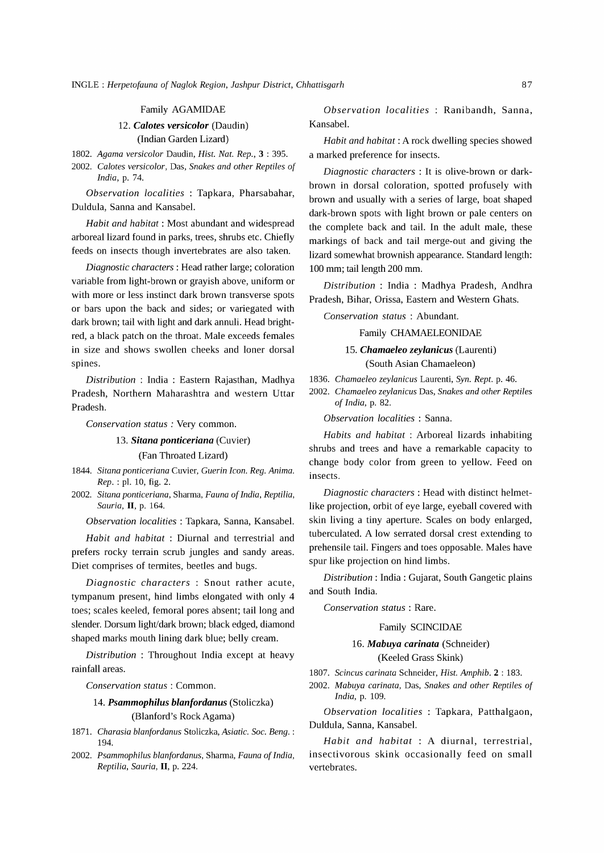#### Family AGAMIDAE

# *12. Calotes versicolor* (Daudin)

(Indian Garden Lizard)

*1802. Agama versicolor* Daudin, *Rist. Nat. Rep.,* 3 : 395.

*2002. Calotes versicolor,* Das, *Snakes and other Reptiles of India,* p. 74.

*Observation localities* : Tapkara, Pharsabahar, Duldula, Sanna and Kansabel.

*Habit and habitat:* Most abundant and widespread arboreal lizard found in parks, trees, shrubs etc. Chiefly feeds on insects though invertebrates are also taken.

*Diagnostic characters:* Head rather large; coloration variable from light -brown or grayish above, uniform or with more or less instinct dark brown transverse spots or bars upon the back and sides; or variegated with dark brown; tail with light and dark annuli. Head brightred, a black patch on the throat. Male exceeds females in size and shows swollen cheeks and loner dorsal spines.

*Distribution* : India : Eastern Rajasthan, Madhya Pradesh, Northern Maharashtra and western Uttar Pradesh.

*Conservation status* : Very common.

#### *13. Sitana ponticeriana* (Cuvier)

#### (Fan Throated Lizard)

- *1844. Sitana ponticeriana* Cuvier, *Guerin Icon. Reg. Anima. Rep.* : pI. 10, fig. 2.
- *2002. Sitana ponticeriana,* Sharma, *Fauna of India, Reptilia, Sauria,* II, p. 164.

*Observation localities:* Tapkara, Sanna, Kansabel.

*Habit and habitat:* Diurnal and terrestrial and prefers rocky terrain scrub jungles and sandy areas. Diet comprises of termites, beetles and bugs.

*Diagnostic characters* : Snout rather acute, tympanum present, hind limbs elongated with only 4 toes; scales keeled, femoral pores absent; tail long and slender. Dorsum light/dark brown; black edged, diamond shaped marks mouth lining dark blue; belly cream.

*Distribution* : Throughout India except at heavy rainfall areas.

*Conservation status:* Common.

### *14. Psammophilus blanfordanus* (Stoliczka) (Blanford's Rock Agama)

- *1871. Charasia blanfordanus* Stoliczka, *Asiatic. Soc. Beng. :*  194.
- *2002. Psammophilus blanfordanus,* Sharma, *Fauna of India, Reptilia, Sauria,* II, p. 224.

*Observation localities : Ranibandh, Sanna,* Kansabel.

*Habit and habitat:* A rock dwelling species showed a marked preference for insects.

*Diagnostic characters* : It is olive-brown or darkbrown in dorsal coloration, spotted profusely with brown and usually with a series of large, boat shaped dark-brown spots with light brown or pale centers on the complete back and tail. In the adult male, these markings of back and tail merge-out and giving the lizard somewhat brownish appearance. Standard length: 100 mm; tail length 200 mm.

*Distribution* : India : Madhya Pradesh, Andhra Pradesh, Bihar, Orissa, Eastern and Western Ghats.

*Conservation status* : Abundant.

#### Family CHAMAELEONIDAE

### *15. Chamaeleo zeylanicus* (Laurenti)

(South Asian Chamaeleon)

*1836. Chamaeleo zeylanicus* Laurenti, *Syn. Rept.* p. 46.

*2002. Chamaeleo zeylanicus* Das, *Snakes and other Reptiles of India,* p. 82.

*Observation localities* : Sanna.

*Habits and habitat* : Arboreal lizards inhabiting shrubs and trees and have a remarkable capacity to change body color from green to yellow. Feed on insects.

*Diagnostic characters:* Head with distinct helmetlike projection, orbit of eye large, eyeball covered with skin living a tiny aperture. Scales on body enlarged, tuberculated. A low serrated dorsal crest extending to prehensile tail. Fingers and toes opposable. Males have spur like projection on hind limbs.

*Distribution:* India: Gujarat, South Gangetic plains and South India.

*Conservation status:* Rare.

Family SCINCIDAE

*16. Mabuya carinata* (Schneider) (Keeled Grass Skink)

*1807. Scincus carinata* Schneider, *Rist. Amphib.* 2 : 183.

*2002. Mabuya carinata,* Das, *Snakes and other Reptiles of India,* p. 109.

*Observation localities* : Tapkara, Patthalgaon, Duldula, Sanna, Kansabel.

*Habit and habitat* : A diurnal, terrestrial, insectivorous skink occasionally feed on small vertebrates.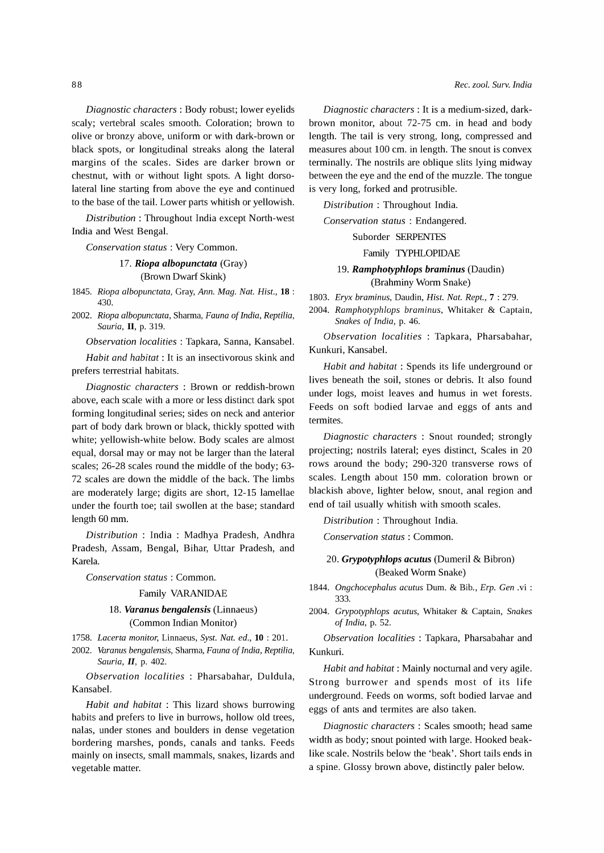*Diagnostic characters:* Body robust; lower eyelids scaly; vertebral scales smooth. Coloration; brown to olive or bronzy above, uniform or with dark-brown or black spots, or longitudinal streaks along the lateral margins of the scales. Sides are darker brown or chestnut, with or without light spots. A light dorsolateral line starting from above the eye and continued to the base of the tail. Lower parts whitish or yellowish.

*Distribution:* Throughout India except North-west India and West Bengal.

*Conservation status* : Very Common.

# *17. Riopa albopunctata* (Gray) (Brown Dwarf Skink)

*1845. Riopa albopunctata,* Gray, *Ann. Mag. Nat. Rist.,* **18** : 430.

*2002. Riopa albopunctata,* Sharma, *Fauna of India, Reptilia, Sauria,* II, p. 319.

*Observation localities:* Tapkara, Sanna, Kansabel.

*Habit and habitat:* It is an insectivorous skink and prefers terrestrial habitats.

*Diagnostic characters* : Brown or reddish-brown above, each scale with a more or less distinct dark spot forming longitudinal series; sides on neck and anterior part of body dark brown or black, thickly spotted with white; yellowish-white below. Body scales are almost equal, dorsal may or may not be larger than the lateral scales; 26-28 scales round the middle of the body; 63- 72 scales are down the middle of the back. The limbs are moderately large; digits are short, 12-15 lamellae under the fourth toe; tail swollen at the base; standard length 60 mm.

*Distribution* : India : Madhya Pradesh, Andhra Pradesh, Assam, Bengal, Bihar, Uttar Pradesh, and Karela.

*Conservation status* : Common.

#### Family VARANIDAE

### *18. Varanus bengalensis* (Linnaeus) (Common Indian Monitor)

*1758. Lacerta monitor,* Linnaeus, *Syst. Nat. ed.,* **10** : 201.

*2002. Varanus bengalensis,* Sharma, *Fauna of India, Reptilia, Sauria,* II, p. 402.

*Observation localities* : Pharsabahar, Duldula, Kansabel.

*Habit and habitat* : This lizard shows burrowing habits and prefers to live in burrows, hollow old trees, nalas, under stones and boulders in dense vegetation bordering marshes, ponds, canals and tanks. Feeds mainly on insects, small mammals, snakes, lizards and vegetable matter.

*Diagnostic characters:* It is a medium-sized, darkbrown monitor, about 72-75 cm. in head and body length. The tail is very strong, long, compressed and measures about 100 cm. in length. The snout is convex terminally. The nostrils are oblique slits lying midway between the eye and the end of the muzzle. The tongue is very long, forked and protrusible.

*Distribution* : Throughout India.

*Conservation status* : Endangered.

### Suborder SERPENTES

#### Family TYPHLOPIDAE

### 19. *Ramphotyphlops braminus* (Daudin) (Brahminy Worm Snake)

*1803. Eryx braminus,* Daudin, *Rist. Nat. Rept.,* 7 : 279.

*2004. Ramphotyphlops braminus,* Whitaker & Captain, *Snakes of India,* p. 46.

*Observation localities* : Tapkara, Pharsabahar, Kunkuri, Kansabel.

*Habit and habitat:* Spends its life underground or lives beneath the soil, stones or debris. It also found under logs, moist leaves and humus in wet forests. Feeds on soft bodied larvae and eggs of ants and termites.

*Diagnostic characters* : Snout rounded; strongly projecting; nostrils lateral; eyes distinct, Scales in 20 rows around the body; 290-320 transverse rows of scales. Length about 150 mm. coloration brown or blackish above, lighter below, snout, anal region and end of tail usually whitish with smooth scales.

*Distribution* : Throughout India.

*Conservation status:* Common.

### 20. *Grypotyphlops acutus* (Dumeril & Bibron) (Beaked Worm Snake)

*1844. Ongchocephalus acutus* Dum. & Bib., *Erp. Gen* .vi : 333.

*2004. Grypotyphlops acutus,* Whitaker & Captain, *Snakes of India,* p. 52.

*Observation localities* : Tapkara, Pharsabahar and Kunkuri.

*Habit and habitat:* Mainly nocturnal and very agile. Strong burrower and spends most of its life underground. Feeds on worms, soft bodied larvae and eggs of ants and termites are also taken.

*Diagnostic characters* : Scales smooth; head same width as body; snout pointed with large. Hooked beaklike scale. Nostrils below the 'beak'. Short tails ends in a spine. Glossy brown above, distinctly paler below.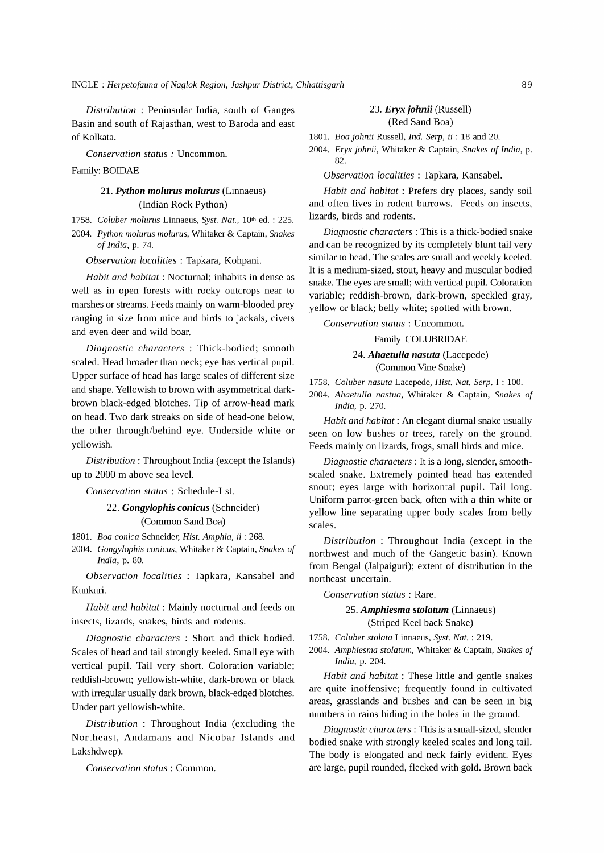*Distribution* : Peninsular India, south of Ganges Basin and south of Rajasthan, west to Baroda and east of Kolkata.

*Conservation status:* Uncommon.

Family: BOIDAE

### *21. Python molurus molurus* (Linnaeus) (Indian Rock Python)

*1758. Coluber molurus* Linnaeus, *Syst. Nat.,* 10th ed. : 225.

*2004. Python molurus molurus,* Whitaker & Captain, *Snakes of India,* p. 74.

*Observation localities:* Tapkara, Kohpani.

*Habit and habitat:* Nocturnal; inhabits in dense as well as in open forests with rocky outcrops near to marshes or streams. Feeds mainly on warm-blooded prey ranging in size from mice and birds to jackals, civets and even deer and wild boar.

*Diagnostic characters* : Thick-bodied; smooth scaled. Head broader than neck; eye has vertical pupil. Upper surface of head has large scales of different size and shape. Yellowish to brown with asymmetrical darkbrown black-edged blotches. Tip of arrow-head mark on head. Two dark streaks on side of head-one below, the other through/behind eye. Underside white or yellowish.

*Distribution:* Throughout India (except the Islands) up to 2000 m above sea level.

**Conservation status : Schedule-I st.** 

### *22. Gongylophis conicus* (Schneider) (Common Sand Boa)

*1801. Boa conica* Schneider, *Rist. Amphia,* ii : 268.

*2004. Gongylophis conicus,* Whitaker & Captain, *Snakes of India,* p. 80.

*Observation localities* : Tapkara, Kansabel and Kunkuri.

*Habit and habitat:* Mainly nocturnal and feeds on insects, lizards, snakes, birds and rodents.

*Diagnostic characters* : Short and thick bodied. Scales of head and tail strongly keeled. Small eye with vertical pupil. Tail very short. Coloration variable; reddish-brown; yellowish-white, dark-brown or black with irregular usually dark brown, black-edged blotches. Under part yellowish-white.

*Distribution* : Throughout India (excluding the Northeast, Andamans and Nicobar Islands and Lakshdwep).

*Conservation status:* Common.

#### *23. Eryx johnii* (Russell) (Red Sand Boa)

*1801. Boa johnii* Russell, *Ind. Serp,* ii : 18 and 20.

*2004. Eryx johnii,* Whitaker & Captain, *Snakes of India,* p. 82.

*Observation localities* : Tapkara, Kansabel.

*Habit and habitat:* Prefers dry places, sandy soil and often lives in rodent burrows. Feeds on insects, lizards, birds and rodents.

*Diagnostic characters:* This is a thick-bodied snake and can be recognized by its completely blunt tail very similar to head. The scales are small and weekly keeled. It is a medium-sized, stout, heavy and muscular bodied snake. The eyes are small; with vertical pupil. Coloration variable; reddish-brown, dark-brown, speckled gray, yellow or black; belly white; spotted with brown.

*Conservation status:* Uncommon.

Family COLUBRIDAE

*24. Ahaetulla nasuta* (Lacepede) (Common Vine Snake)

*1758. Coluber nasuta* Lacepede, *Rist. Nat. Serp.* I : 100.

*2004. Ahaetulla nastua,* Whitaker & Captain, *Snakes of India,* p. 270.

*Habit and habitat:* An elegant diurnal snake usually seen on low bushes or trees, rarely on the ground. Feeds mainly on lizards, frogs, small birds and mice.

*Diagnostic characters:* It is a long, slender, smoothscaled snake. Extremely pointed head has extended snout; eyes large with horizontal pupil. Tail long. Uniform parrot-green back, often with a thin white or yellow line separating upper body scales from belly scales.

*Distribution* : Throughout India (except in the northwest and much of the Gangetic basin). Known from Bengal (Jalpaiguri); extent of distribution in the northeast uncertain.

*Conservation status:* Rare.

*25. Amphiesma stolatum* (Linnaeus) (Striped Keel back Snake)

*1758. Coluber stolata* Linnaeus, *Syst. Nat.* : 219.

*2004. Amphiesma stolatum,* Whitaker & Captain, *Snakes of India,* p. 204.

*Habit and habitat:* These little and gentle snakes are quite inoffensive; frequently found in cultivated areas, grasslands and bushes and can be seen in big numbers in rains hiding in the holes in the ground.

*Diagnostic characters:* This is a small-sized, slender bodied snake with strongly keeled scales and long tail. The body is elongated and neck fairly evident. Eyes are large, pupil rounded, flecked with gold. Brown back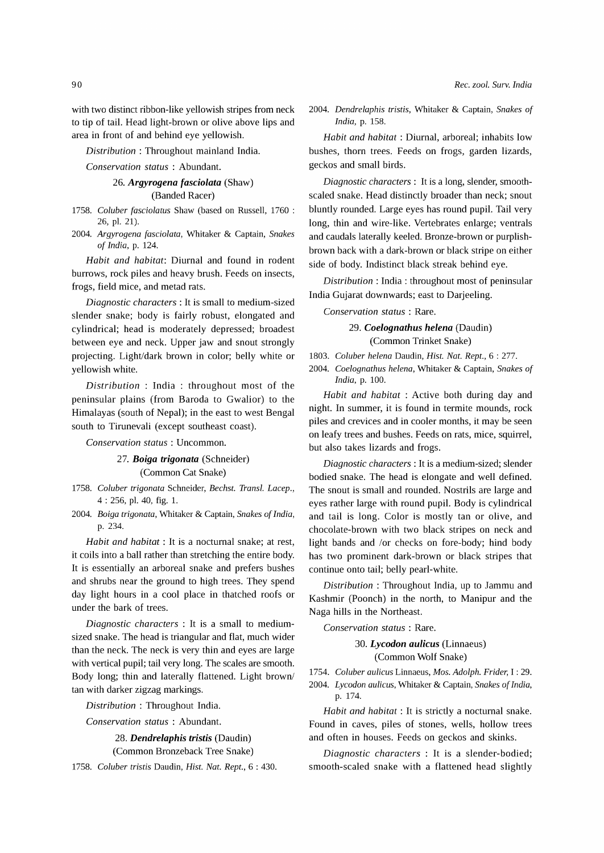with two distinct ribbon-like yellowish stripes from neck to tip of tail. Head light-brown or olive above lips and area in front of and behind eye yellowish.

*Distribution* : Throughout mainland India.

*Conservation status* : Abundant.

# 26. *Argyrogena fasciolata* (Shaw)

(Banded Racer)

- *1758. Coluber fasciolatus* Shaw (based on Russell, 1760 : 26, pI. 21).
- *2004. Argyrogena fasciolata,* Whitaker & Captain, *Snakes of India,* p. 124.

*Habit and habitat:* Diurnal and found in rodent burrows, rock piles and heavy brush. Feeds on insects, frogs, field mice, and metad rats.

*Diagnostic characters:* It is small to medium-sized slender snake; body is fairly robust, elongated and cylindrical; head is moderately depressed; broadest between eye and neck. Upper jaw and snout strongly projecting. Light/dark brown in color; belly white or yellowish white.

*Distribution* : India : throughout most of the peninsular plains (from Baroda to Gwalior) to the Himalayas (south of Nepal); in the east to west Bengal south to Tirunevali (except southeast coast).

*Conservation status:* Uncommon.

- *27. Boiga trigonata* (Schneider) (Common Cat Snake)
- *1758. Coluber trigonata* Schneider, *Bechst. Transl. Lacep.,*  4 : 256, pI. 40, fig. 1.
- *2004. Boiga trigonata,* Whitaker & Captain, *Snakes of India,*  p.234.

*Habit and habitat:* It is a nocturnal snake; at rest, it coils into a ball rather than stretching the entire body. It is essentially an arboreal snake and prefers bushes and shrubs near the ground to high trees. They spend day light hours in a cool place in thatched roofs or under the bark of trees.

*Diagnostic characters* : It is a small to mediumsized snake. The head is triangular and flat, much wider than the neck. The neck is very thin and eyes are large with vertical pupil; tail very long. The scales are smooth. Body long; thin and laterally flattened. Light brown/ tan with darker zigzag markings.

*Distribution* : Throughout India.

*Conservation status* : Abundant.

28. *Dendrelaphis tristis* (Daudin) (Common Bronzeback Tree Snake)

*1758. Coluber tristis* Daudin, *Rist. Nat. Rept.,* 6 : 430.

*2004. Dendrelaphis tristis,* Whitaker & Captain, *Snakes of India,* p. 158.

*Habit and habitat:* Diurnal, arboreal; inhabits low bushes, thorn trees. Feeds on frogs, garden lizards, geckos and small birds.

*Diagnostic characters:* It is a long, slender, smoothscaled snake. Head distinctly broader than neck; snout bluntly rounded. Large eyes has round pupil. Tail very long, thin and wire-like. Vertebrates enlarge; ventrals and caudals laterally keeled. Bronze-brown or purplishbrown back with a dark-brown or black stripe on either side of body. Indistinct black streak behind eye.

*Distribution* : India: throughout most of peninsular India Gujarat downwards; east to Darjeeling.

*Conservation status* : Rare.

### 29. *Coelognathus helena* (Daudin) (Common Trinket Snake)

*1803. Coluber helena* Daudin, *Rist. Nat. Rept.,* 6 : 277.

*2004. Coelognathus helena,* Whitaker & Captain, *Snakes of India,* p. 100.

*Habit and habitat* : Active both during day and night. In summer, it is found in termite mounds, rock piles and crevices and in cooler months, it may be seen on leafy trees and bushes. Feeds on rats, mice, squirrel, but also takes lizards and frogs.

*Diagnostic characters:* It is a medium-sized; slender bodied snake. The head is elongate and well defined. The snout is small and rounded. Nostrils are large and eyes rather large with round pupil. Body is cylindrical and tail is long. Color is mostly tan or olive, and chocolate-brown with two black stripes on neck and light bands and *lor* checks on fore-body; hind body has two prominent dark-brown or black stripes that continue onto tail; belly pearl-white.

*Distribution:* Throughout India, up to Jammu and Kashmir (Poonch) in the north, to Manipur and the Naga hills in the Northeast.

*Conservation status* : Rare.

*30. Lycodon aulicus* (Linnaeus) (Common Wolf Snake)

*1754. Coluber aulicus* Linnaeus, *Mos. Adolph. Frider,* I : 29. *2004. Lycodon aulicus,* Whitaker & Captain, *Snakes of India,*  p. 174.

*Habit and habitat:* It is strictly a nocturnal snake. Found in caves, piles of stones, wells, hollow trees and often in houses. Feeds on geckos and skinks.

*Diagnostic characters* : It is a slender-bodied; smooth-scaled snake with a flattened head slightly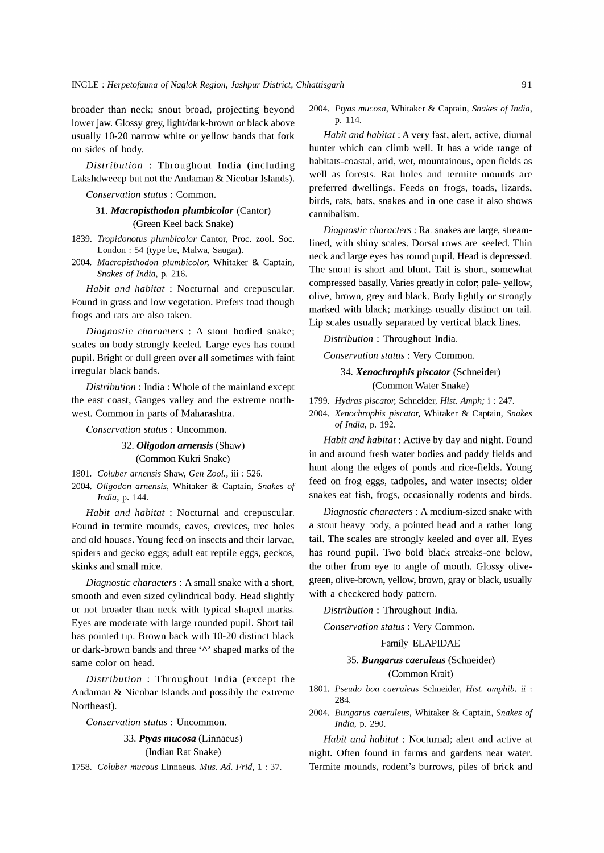broader than neck; snout broad, projecting beyond lower jaw. Glossy grey, light/dark-brown or black above usually 10-20 narrow white or yellow bands that fork on sides of body.

*Distribution* : Throughout India (including Lakshdweeep but not the Andaman & Nicobar Islands).

*Conservation status:* Common.

### 31. *Macropisthodon plumbicolor* (Cantor) (Green Keel back Snake)

*1839. Tropidonotus plumbicolor* Cantor, Proc. zool. Soc. London: 54 (type be, Malwa, Saugar).

*2004. Macropisthodon plumbicolor,* Whitaker & Captain, *Snakes of India,* p. 216.

*Habit and habitat:* Nocturnal and crepuscular. Found in grass and low vegetation. Prefers toad though frogs and rats are also taken.

*Diagnostic characters* : A stout bodied snake; scales on body strongly keeled. Large eyes has round pupil. Bright or dull green over all sometimes with faint irregular black bands.

*Distribution:* India: Whole of the mainland except the east coast, Ganges valley and the extreme northwest. Common in parts of Maharashtra.

*Conservation status:* Uncommon.

### *32. Oligodon arnensis* (Shaw) (Common Kukri Snake)

*1801. Coluber arnensis* Shaw, *Gen Zoo1.,* iii : 526. *2004. Oligodon arnensis,* Whitaker & Captain, *Snakes of India,* p. 144.

*Habit and habitat:* Nocturnal and crepuscular. Found in termite mounds, caves, crevices, tree holes and old houses. Young feed on insects and their larvae, spiders and gecko eggs; adult eat reptile eggs, geckos, skinks and small mice.

*Diagnostic characters:* A small snake with a short, smooth and even sized cylindrical body. Head slightly or not broader than neck with typical shaped marks. Eyes are moderate with large rounded pupil. Short tail has pointed tip. Brown back with 10-20 distinct black or dark-brown bands and three 'A' shaped marks of the same color on head.

*Distribution* : Throughout India (except the Andaman & Nicobar Islands and possibly the extreme Northeast).

*Conservation status:* Uncommon.

# *33. Ptyas mucosa* (Linnaeus)

(Indian Rat Snake)

*1758. Coluber mucous* Linnaeus, *Mus. Ad. Frid,* 1 : 37.

*2004. Ptyas mucosa,* Whitaker & Captain, *Snakes of India,*  p. 114.

*Habit and habitat:* A very fast, alert, active, diurnal hunter which can climb well. It has a wide range of habitats-coastal, arid, wet, mountainous, open fields as well as forests. Rat holes and termite mounds are preferred dwellings. Feeds on frogs, toads, lizards, birds, rats, bats, snakes and in one case it also shows cannibalism.

*Diagnostic characters:* Rat snakes are large, streamlined, with shiny scales. Dorsal rows are keeled. Thin neck and large eyes has round pupil. Head is depressed. The snout is short and blunt. Tail is short, somewhat compressed basally. Varies greatly in color; pale- yellow, olive, brown, grey and black. Body lightly or strongly marked with black; markings usually distinct on tail. Lip scales usually separated by vertical black lines.

*Distribution* : Throughout India.

*Conservation status:* Very Common.

### *34. Xenochrophis piscator* (Schneider) (Common Water Snake)

*1799. Hydras piscator,* Schneider, *Hist. Amph;* i : 247.

*2004. Xenochrophis piscator,* Whitaker & Captain, *Snakes of India,* p. 192.

*Habit and habitat:* Active by day and night. Found in and around fresh water bodies and paddy fields and hunt along the edges of ponds and rice-fields. Young feed on frog eggs, tadpoles, and water insects; older snakes eat fish, frogs, occasionally rodents and birds.

*Diagnostic characters:* A medium-sized snake with a stout heavy body, a pointed head and a rather long tail. The scales are strongly keeled and over all. Eyes has round pupil. Two bold black streaks-one below, the other from eye to angle of mouth. Glossy olivegreen, olive-brown, yellow, brown, gray or black, usually with a checkered body pattern.

*Distribution* : Throughout India.

*Conservation status:* Very Common.

### Family ELAPIDAE

### *35. Bungarus caeruleus* (Schneider) (Common Krait)

- *1801. Pseudo boa caeruleus* Schneider, *Hist. amphib.* ii : 284.
- *2004. Bungarus caeruleus,* Whitaker & Captain, *Snakes of India,* p. 290.

*Habit and habitat:* Nocturnal; alert and active at night. Often found in farms and gardens near water. Termite mounds, rodent's burrows, piles of brick and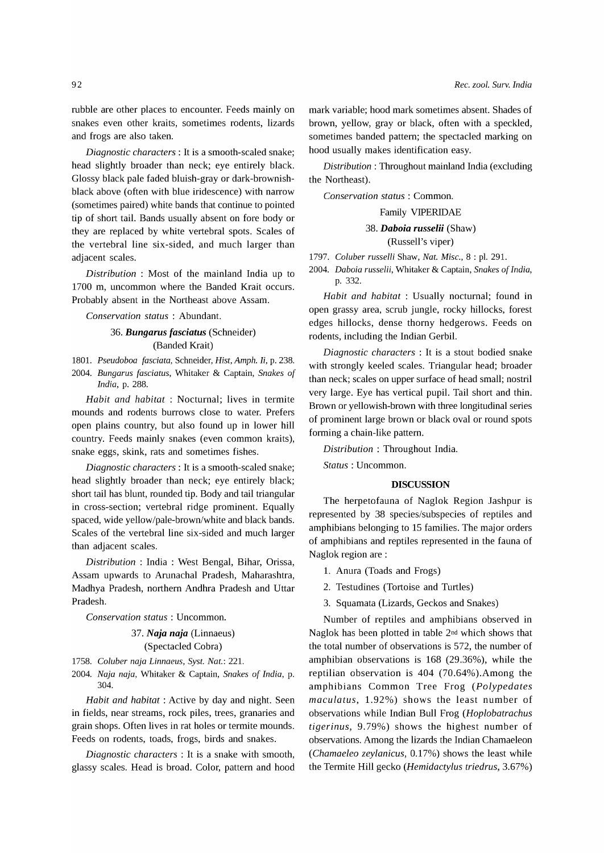rubble are other places to encounter. Feeds mainly on snakes even other kraits, sometimes rodents, lizards and frogs are also taken.

*Diagnostic characters:* It is a smooth-scaled snake; head slightly broader than neck; eye entirely black. Glossy black pale faded bluish-gray or dark-brownishblack above (often with blue iridescence) with narrow (sometimes paired) white bands that continue to pointed tip of short tail. Bands usually absent on fore body or they are replaced by white vertebral spots. Scales of the vertebral line six-sided, and much larger than adjacent scales.

*Distribution* : Most of the mainland India up to 1700 m, uncommon where the Banded Krait occurs. Probably absent in the Northeast above Assam.

*Conservation status* : Abundant.

### *36. Bungarus fasciatus* (Schneider) (Banded Krait)

*1801. Pseudoboa fasciata,* Schneider, *Hist, Amph.* Ii, p. 238.

*2004. Bungarus fasciatus,* Whitaker & Captain, *Snakes of India,* p. 288.

*Habit and habitat:* Nocturnal; lives in termite mounds and rodents burrows close to water. Prefers open plains country, but also found up in lower hill country. Feeds mainly snakes (even common kraits), snake eggs, skink, rats and sometimes fishes.

*Diagnostic characters:* It is a smooth-scaled snake; head slightly broader than neck; eye entirely black; short tail has blunt, rounded tip. Body and tail triangular in cross-section; vertebral ridge prominent. Equally spaced, wide yellow/pale-brown/white and black bands. Scales of the vertebral line six-sided and much larger than adjacent scales.

*Distribution* : India : West Bengal, Bihar, Orissa, Assam upwards to Arunachal Pradesh, Maharashtra, Madhya Pradesh, northern Andhra Pradesh and Uttar Pradesh.

*Conservation status:* Uncommon.

#### *37. Naja naja* (Linnaeus) (Spectacled Cobra)

*1758. Coluber naja Linnaeus, Syst. Nat.:* 221.

*2004. Naja naja,* Whitaker & Captain, *Snakes of India,* p. 304.

*Habit and habitat* : Active by day and night. Seen in fields, near streams, rock piles, trees, granaries and grain shops. Often lives in rat holes or termite mounds. Feeds on rodents, toads, frogs, birds and snakes.

*Diagnostic characters* : It is a snake with smooth, glassy scales. Head is broad. Color, pattern and hood

mark variable; hood mark sometimes absent. Shades of brown, yellow, gray or black, often with a speckled, sometimes banded pattern; the spectacled marking on hood usually makes identification easy.

*Distribution* : Throughout mainland India (excluding the Northeast).

*Conservation status:* Common.

Family VIPERIDAE

### *38. Daboia russelii* (Shaw) (Russell's viper)

*1797. Coluber russelli* Shaw, *Nat. Misc.,* 8 : pI. 291.

*2004. Daboia russelii,* Whitaker & Captain, *Snakes of India,*  p.332.

*Habit and habitat:* Usually nocturnal; found in open grassy area, scrub jungle, rocky hillocks, forest edges hillocks, dense thorny hedgerows. Feeds on rodents, including the Indian Gerbil.

*Diagnostic characters* : It is a stout bodied snake with strongly keeled scales. Triangular head; broader than neck; scales on upper surface of head small; nostril very large. Eye has vertical pupil. Tail short and thin. Brown or yellowish-brown with three longitudinal series of prominent large brown or black oval or round spots forming a chain-like pattern.

*Distribution* : Throughout India.

*Status:* Uncommon.

#### **DISCUSSION**

The herpetofauna of Naglok Region Jashpur is represented by 38 species/subspecies of reptiles and amphibians belonging to 15 families. The major orders of amphibians and reptiles represented in the fauna of Naglok region are:

- 1. Anura (Toads and Frogs)
- 2. Testudines (Tortoise and Turtles)
- 3. Squamata (Lizards, Geckos and Snakes)

Number of reptiles and amphibians observed in Naglok has been plotted in table 2nd which shows that the total number of observations is 572, the number of amphibian observations is 168 (29.36%), while the reptilian observation is 404 (70.64%).Among the amphibians Common Tree Frog *(Polypedates maculatus,* 1.92%) shows the least number of observations while Indian Bull Frog *(Hoplobatrachus tigerinus,* 9.79%) shows the highest number of observations. Among the lizards the Indian Chamaeleon *(Chamaeleo zeylanicus,* 0.17%) shows the least while the Termite Hill gecko *(Hemidactylus triedrus, 3.67%)*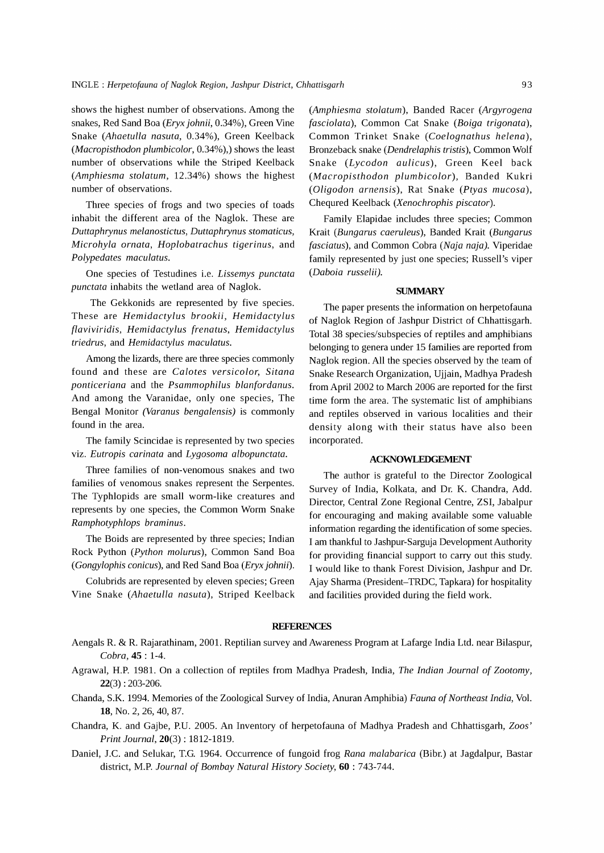shows the highest number of observations. Among the snakes, Red Sand Boa *(Eryx johnii*, 0.34%), Green Vine Snake *(Ahaetulla nasuta,* 0.34%), Green Keelback *(Macropisthodon plumbicolor,* 0.34%),) shows the least number of observations while the Striped Keelback *(Amphiesma stolatum,* 12.34%) shows the highest number of observations.

Three species of frogs and two species of toads inhabit the different area of the Naglok. These are *Duttaphrynus melanostictus, Duttaphrynus stomaticus, Microhyla ornata, Hoplobatrachus tigerinus,* and *Polypedates maculatus.* 

One species of Testudines i.e. *Lissemys punctata punctata* inhabits the wetland area of Naglok.

The Gekkonids are represented by five species. These are *Hemidactylus brookii, Hemidactylus flaviviridis, Hemidactylus frenatus, Hemidactylus triedrus,* and *Hemidactylus maculatus.* 

Among the lizards, there are three species commonly found and these are *Calotes versicolor, Sitana ponticeriana* and the *Psammophilus blanfordanus.*  And among the Varanidae, only one species, The Bengal Monitor *(Varanus bengalensis)* is commonly found in the area.

The family Scincidae is represented by two species viz. *Eutropis carinata* and *Lygosoma albopunctata.* 

Three families of non-venomous snakes and two families of venomous snakes represent the Serpentes. The Typhlopids are small worm-like creatures and represents by one species, the Common Worm Snake *Ramphotyphlops braminus.* 

The Boids are represented by three species; Indian Rock Python *(Python molurus),* Common Sand Boa *(Gongylophis conicus),* and Red Sand Boa *(Eryxjohnii).* 

Colubrids are represented by eleven species; Green Vine Snake *(Ahaetulla nasuta),* Striped Keelback

*(Amphiesma stolatum),* Banded Racer *(Argyrogena fasciolata),* Common Cat Snake *(Boiga trigonata),*  Common Trinket Snake *(Coelognathus helena),*  Bronzeback snake *(Dendrelaphis tristis),* Common Wolf Snake *(Lycodon aulicus),* Green Keel back *(Macropisthodon plumbicolor),* Banded Kukri *(Oligodon arnensis),* Rat Snake *(Ptyas mucosa),*  Chequred Keelback *(Xenochrophis piscator).* 

Family Elapidae includes three species; Common Krait *(Bungarus caeruleus),* Banded Krait *(Bungarus fasciatus),* and Common Cobra *(Naja naja).* Viperidae family represented by just one species; Russell's viper *(Daboia russelii).* 

#### **SUMMARY**

The paper presents the information on herpetofauna of Naglok Region of Jashpur District of Chhattisgarh. Total 38 species/subspecies of reptiles and amphibians belonging to genera under 15 families are reported from Naglok region. All the species observed by the team of Snake Research Organization, Ujjain, Madhya Pradesh from April 2002 to March 2006 are reported for the first time form the area. The systematic list of amphibians and reptiles observed in various localities and their density along with their status have also been incorporated.

#### **ACKNOWLEDGEMENT**

The author is grateful to the Director Zoological Survey of India, Kolkata, and Dr. K. Chandra, Add. Director, Central Zone Regional Centre, ZSI, Jabalpur for encouraging and making available some valuable information regarding the identification of some species. I am thankful to Jashpur-Sarguja Development Authority for providing financial support to carry out this study. I would like to thank Forest Division, Jashpur and Dr. Ajay Sharma (President-TRDC, Tapkara) for hospitality and facilities provided during the field work.

### **REFERENCES**

- Aengals R. & R. Rajarathinam, 2001. Reptilian survey and Awareness Program at Lafarge India Ltd. near Bilaspur, *Cobra,* **45** : 1-4.
- Agrawal, H.P. 1981. On a collection of reptiles from Madhya Pradesh, India, *The Indian Journal* of *Zootomy,*  22(3) : 203-206.
- Chanda, S.K. 1994. Memories of the Zoological Survey of India, Anuran Amphibia) *Fauna* of *Northeast India,* Vol. 18, No.2, 26, 40, 87.
- Chandra, K. and Gajbe, P.U. 2005. An Inventory of herpetofauna of Madhya Pradesh and Chhattisgarh, *Zoos' Print Journal,* 20(3) : 1812-1819.
- Daniel, J.e. and Selukar, T.G. 1964. Occurrence of fungoid frog *Rana malabarica* (Bibr.) at Jagdalpur, Bastar district, M.P. *Journal* of *Bombay Natural History Society,* **60** : 743-744.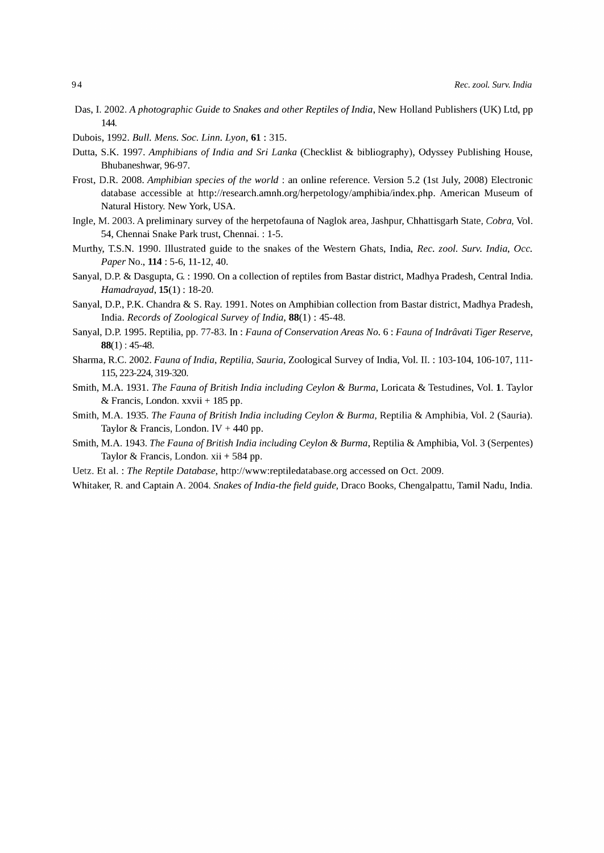- Das, 1. 2002. *A photographic Guide to Snakes and other Reptiles* of *India,* New Holland Publishers (UK) Ltd, pp 144.
- Dubois, 1992. *Bull. Mens. Soc. Linn. Lyon,* 61 : 315.
- Dutta, S.K. 1997. *Amphibians* of *India and Sri Lanka* (Checklist & bibliography), Odyssey Publishing House, Bhubaneshwar, 96-97.
- Frost, D.R. 2008. *Amphibian species* of *the world:* an online reference. Version 5.2 (1st July, 2008) Electronic database accessible at http://research.amnh.org/herpetology/amphibia/index.php. American Museum of Natural History. New York, USA.
- Ingle, M. 2003. A preliminary survey of the herpetofauna of Naglok area, Jashpur, Chhattisgarh State, *Cobra,* Vol. 54, Chennai Snake Park trust, Chennai. : 1-5.
- Murthy, T.S.N. 1990. Illustrated guide to the snakes of the Western Ghats, India, *Rec. zool. Surv. India, Gcc. Paper* No., **114** : 5-6, 11-12,40.
- Sanyal, D.P. & Dasgupta, G. : 1990. On a collection of reptiles from Bastar district, Madhya Pradesh, Central India. *Hamadrayad,* 15(1) : 18-20.
- Sanyal, D.P., P.K. Chandra & S. Ray. 1991. Notes on Amphibian collection from Bastar district, Madhya Pradesh, India. *Records* of *Zoological Survey* of *India,* 88(1) : 45-48.
- Sanyal, D.P. 1995. Reptilia, pp. 77-83. In: *Fauna of Conservation Areas No.* 6: *Fauna of Indrâvati Tiger Reserve*,  $88(1): 45-48.$
- Sharma, R.C. 2002. *Fauna* of *India, Reptilia, Sauria,* Zoological Survey of India, Vol. II. : 103-104, 106-107, 111- 115, 223-224, 319-320.
- Smith, M.A. 1931. *The Fauna* of *British India including Ceylon* & *Burma,* Loricata & Testudines, Vol. 1. Taylor & Francis, London. xxvii + 185 pp.
- Smith, M.A. 1935. *The Fauna* of *British India including Ceylon* & *Burma,* Reptilia & Amphibia, Vol. 2 (Sauria). Taylor & Francis, London. IV  $+$  440 pp.
- Smith, M.A. 1943. *The Fauna* of *British India including Ceylon* & *Burma,* Reptilia & Amphibia, Vol. 3 (Serpentes) Taylor & Francis, London. xii + 584 pp.
- Uetz. Et al. : *The Reptile Database,* http://www:reptiledatabase.org accessed on Oct. 2009.
- Whitaker, R. and Captain A. 2004. *Snakes* of *India-the field guide,* Draco Books, Chengalpattu, Tamil Nadu, India.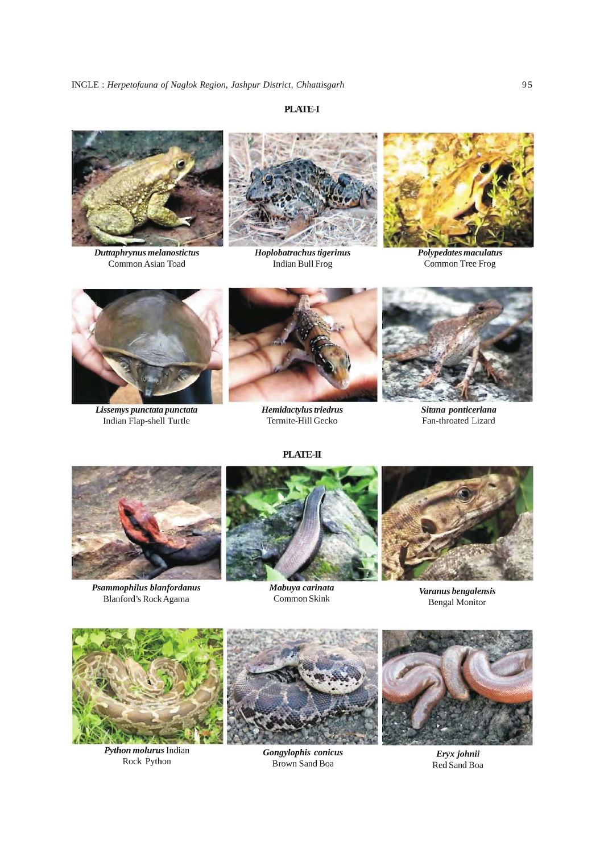# **PLATE-I**



*Duttaphrynus melanostictus*  Common Asian Toad



*Hoplobatrachus tigerinus*  Indian Bull Frog



*Polypedates maculatus*  Common Tree Frog



*Lissemys punctata punctata*  Indian Flap-shell Turtle



*Hemidactylus triedrus*  Termite-Hill Gecko

**PLATE-II** 



*Sitana ponticeriana*  Fan-throated Lizard



*Psammophilus blanfordanus*  Blanford's RockAgama



*Mabuya carinata*  Common Skink



*Varanus bengalensis*  Bengal Monitor



*Python molurus* Indian Rock Python

*Gongylophis conicus*  Brown Sand Boa

*Eryxjohnii*  Red Sand Boa

95